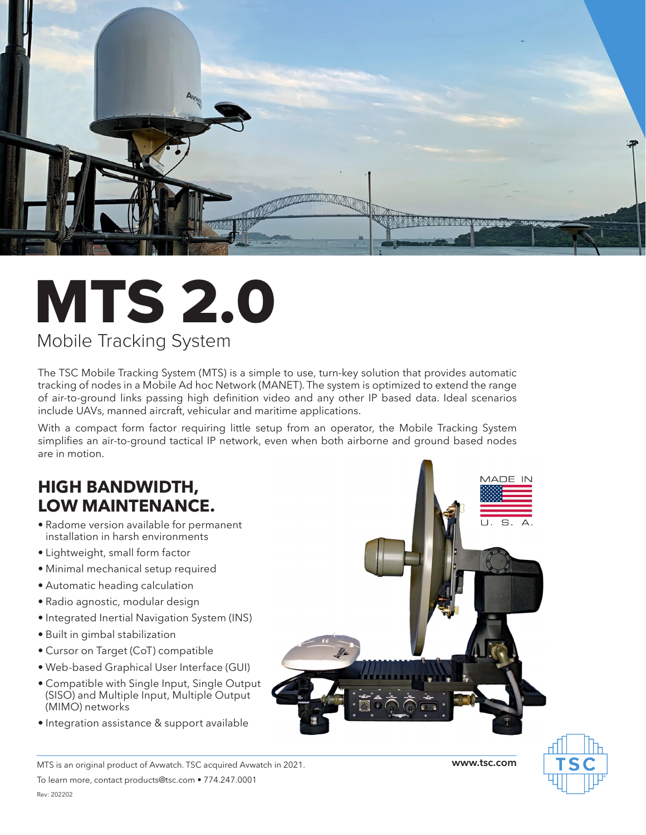

## MTS 2.0 Mobile Tracking System

The TSC Mobile Tracking System (MTS) is a simple to use, turn-key solution that provides automatic tracking of nodes in a Mobile Ad hoc Network (MANET). The system is optimized to extend the range of air-to-ground links passing high definition video and any other IP based data. Ideal scenarios include UAVs, manned aircraft, vehicular and maritime applications.

With a compact form factor requiring little setup from an operator, the Mobile Tracking System simplifies an air-to-ground tactical IP network, even when both airborne and ground based nodes are in motion.

## **HIGH BANDWIDTH, LOW MAINTENANCE.**

- Radome version available for permanent installation in harsh environments
- Lightweight, small form factor
- Minimal mechanical setup required
- Automatic heading calculation
- Radio agnostic, modular design
- Integrated Inertial Navigation System (INS)
- Built in gimbal stabilization
- Cursor on Target (CoT) compatible
- Web-based Graphical User Interface (GUI)
- Compatible with Single Input, Single Output (SISO) and Multiple Input, Multiple Output (MIMO) networks
- Integration assistance & support available